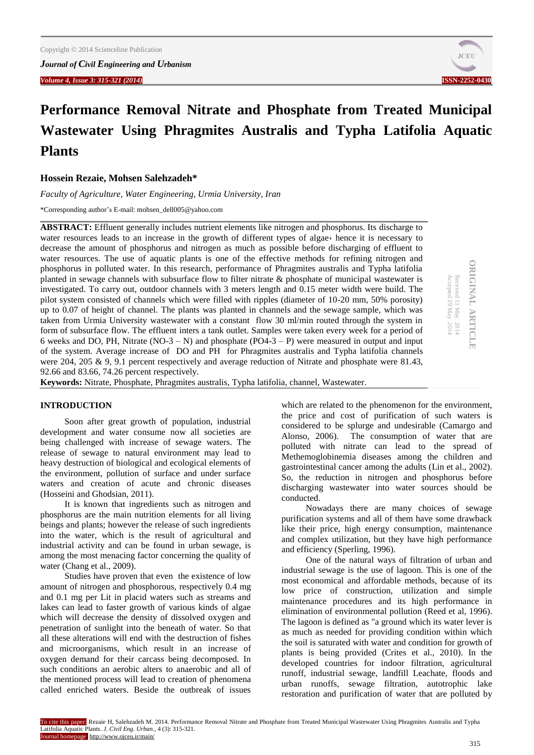

# **Performance Removal Nitrate and Phosphate from Treated Municipal Wastewater Using Phragmites Australis and Typha Latifolia Aquatic Plants**

**Hossein Rezaie, Mohsen Salehzadeh\***

*Faculty of Agriculture, Water Engineering, Urmia University, Iran*

\*Corresponding author's E-mail: [mohsen\\_dell005@yahoo.com](mailto:mohsen_dell005@yahoo.com)

**ABSTRACT:** Effluent generally includes nutrient elements like nitrogen and phosphorus. Its discharge to water resources leads to an increase in the growth of different types of algae, hence it is necessary to decrease the amount of phosphorus and nitrogen as much as possible before discharging of effluent to water resources. The use of aquatic plants is one of the effective methods for refining nitrogen and phosphorus in polluted water. In this research, performance of Phragmites australis and Typha latifolia planted in sewage channels with subsurface flow to filter nitrate & phosphate of municipal wastewater is investigated. To carry out, outdoor channels with 3 meters length and 0.15 meter width were build. The pilot system consisted of channels which were filled with ripples (diameter of 10-20 mm, 50% porosity) up to 0.07 of height of channel. The plants was planted in channels and the sewage sample, which was taken from Urmia University wastewater with a constant flow 30 ml/min routed through the system in form of subsurface flow. The effluent inters a tank outlet. Samples were taken every week for a period of 6 weeks and DO, PH, Nitrate (NO-3 – N) and phosphate (PO $\overline{4}$ -3 – P) were measured in output and input of the system. Average increase of DO and PH for Phragmites australis and Typha latifolia channels were 204, 205 & 9, 9.1 percent respectively and average reduction of Nitrate and phosphate were 81.43, 92.66 and 83.66, 74.26 percent respectively.

**Keywords:** Nitrate, Phosphate, Phragmites australis, Typha latifolia, channel, Wastewater.

# **INTRODUCTION**

Soon after great growth of population, industrial development and water consume now all societies are being challenged with increase of sewage waters. The release of sewage to natural environment may lead to heavy destruction of biological and ecological elements of the environment, pollution of surface and under surface waters and creation of acute and chronic diseases (Hosseini and Ghodsian, 2011).

It is known that ingredients such as nitrogen and phosphorus are the main nutrition elements for all living beings and plants; however the release of such ingredients into the water, which is the result of agricultural and industrial activity and can be found in urban sewage, is among the most menacing factor concerning the quality of water (Chang et al., 2009).

Studies have proven that even the existence of low amount of nitrogen and phosphorous, respectively 0.4 mg and 0.1 mg per Lit in placid waters such as streams and lakes can lead to faster growth of various kinds of algae which will decrease the density of dissolved oxygen and penetration of sunlight into the beneath of water. So that all these alterations will end with the destruction of fishes and microorganisms, which result in an increase of oxygen demand for their carcass being decomposed. In such conditions an aerobic alters to anaerobic and all of the mentioned process will lead to creation of phenomena called enriched waters. Beside the outbreak of issues

which are related to the phenomenon for the environment, the price and cost of purification of such waters is considered to be splurge and undesirable (Camargo and Alonso, 2006). The consumption of water that are polluted with nitrate can lead to the spread of Methemoglobinemia diseases among the children and gastrointestinal cancer among the adults (Lin et al., 2002). So, the reduction in nitrogen and phosphorus before discharging wastewater into water sources should be conducted.

Nowadays there are many choices of sewage purification systems and all of them have some drawback like their price, high energy consumption, maintenance and complex utilization, but they have high performance and efficiency (Sperling, 1996).

One of the natural ways of filtration of urban and industrial sewage is the use of lagoon. This is one of the most economical and affordable methods, because of its low price of construction, utilization and simple maintenance procedures and its high performance in elimination of environmental pollution (Reed et al, 1996). The lagoon is defined as "a ground which its water lever is as much as needed for providing condition within which the soil is saturated with water and condition for growth of plants is being provided (Crites et al., 2010). In the developed countries for indoor filtration, agricultural runoff, industrial sewage, landfill Leachate, floods and urban runoffs, sewage filtration, autotrophic lake restoration and purification of water that are polluted by

**ORIGINAL ARTICLE DRIGINAL ARTICLE** Received 11 May. 2014<br>Accepted 29 May. 2014 Accepted 29 May. Received 11 May. 2014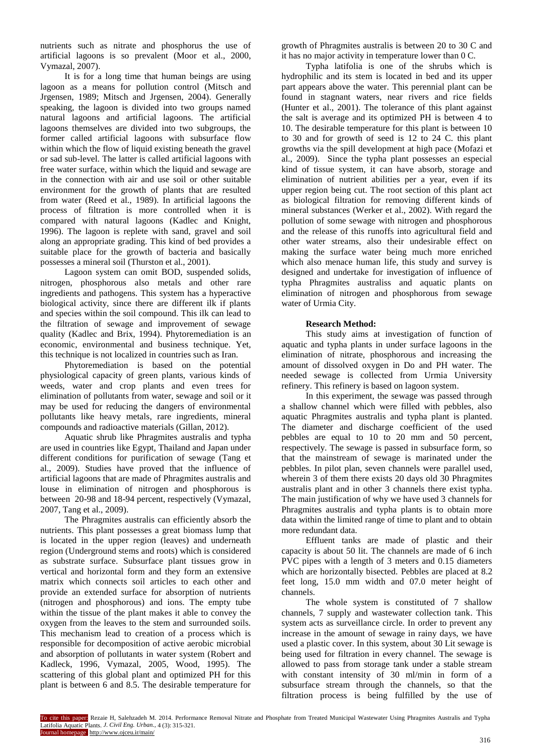nutrients such as nitrate and phosphorus the use of artificial lagoons is so prevalent (Moor et al., 2000, Vymazal, 2007).

It is for a long time that human beings are using lagoon as a means for pollution control (Mitsch and Jrgensen, 1989; Mitsch and Jrgensen, 2004). Generally speaking, the lagoon is divided into two groups named natural lagoons and artificial lagoons. The artificial lagoons themselves are divided into two subgroups, the former called artificial lagoons with subsurface flow within which the flow of liquid existing beneath the gravel or sad sub-level. The latter is called artificial lagoons with free water surface, within which the liquid and sewage are in the connection with air and use soil or other suitable environment for the growth of plants that are resulted from water (Reed et al., 1989). In artificial lagoons the process of filtration is more controlled when it is compared with natural lagoons (Kadlec and Knight, 1996). The lagoon is replete with sand, gravel and soil along an appropriate grading. This kind of bed provides a suitable place for the growth of bacteria and basically possesses a mineral soil (Thurston et al., 2001).

Lagoon system can omit BOD, suspended solids, nitrogen, phosphorous also metals and other rare ingredients and pathogens. This system has a hyperactive biological activity, since there are different ilk if plants and species within the soil compound. This ilk can lead to the filtration of sewage and improvement of sewage quality (Kadlec and Brix, 1994). Phytoremediation is an economic, environmental and business technique. Yet, this technique is not localized in countries such as Iran.

Phytoremediation is based on the potential physiological capacity of green plants, various kinds of weeds, water and crop plants and even trees for elimination of pollutants from water, sewage and soil or it may be used for reducing the dangers of environmental pollutants like heavy metals, rare ingredients, mineral compounds and radioactive materials (Gillan, 2012).

Aquatic shrub like Phragmites australis and typha are used in countries like Egypt, Thailand and Japan under different conditions for purification of sewage (Tang et al., 2009). Studies have proved that the influence of artificial lagoons that are made of Phragmites australis and louse in elimination of nitrogen and phosphorous is between 20-98 and 18-94 percent, respectively (Vymazal, 2007, Tang et al., 2009).

The Phragmites australis can efficiently absorb the nutrients. This plant possesses a great biomass lump that is located in the upper region (leaves) and underneath region (Underground stems and roots) which is considered as substrate surface. Subsurface plant tissues grow in vertical and horizontal form and they form an extensive matrix which connects soil articles to each other and provide an extended surface for absorption of nutrients (nitrogen and phosphorous) and ions. The empty tube within the tissue of the plant makes it able to convey the oxygen from the leaves to the stem and surrounded soils. This mechanism lead to creation of a process which is responsible for decomposition of active aerobic microbial and absorption of pollutants in water system (Robert and Kadleck, 1996, Vymazal, 2005, Wood, 1995). The scattering of this global plant and optimized PH for this plant is between 6 and 8.5. The desirable temperature for

growth of Phragmites australis is between 20 to 30 C and it has no major activity in temperature lower than 0 C.

Typha latifolia is one of the shrubs which is hydrophilic and its stem is located in bed and its upper part appears above the water. This perennial plant can be found in stagnant waters, near rivers and rice fields (Hunter et al., 2001). The tolerance of this plant against the salt is average and its optimized PH is between 4 to 10. The desirable temperature for this plant is between 10 to 30 and for growth of seed is 12 to 24 C. this plant growths via the spill development at high pace (Mofazi et al., 2009). Since the typha plant possesses an especial kind of tissue system, it can have absorb, storage and elimination of nutrient abilities per a year, even if its upper region being cut. The root section of this plant act as biological filtration for removing different kinds of mineral substances (Werker et al., 2002). With regard the pollution of some sewage with nitrogen and phosphorous and the release of this runoffs into agricultural field and other water streams, also their undesirable effect on making the surface water being much more enriched which also menace human life, this study and survey is designed and undertake for investigation of influence of typha Phragmites australiss and aquatic plants on elimination of nitrogen and phosphorous from sewage water of Urmia City.

#### **Research Method:**

This study aims at investigation of function of aquatic and typha plants in under surface lagoons in the elimination of nitrate, phosphorous and increasing the amount of dissolved oxygen in Do and PH water. The needed sewage is collected from Urmia University refinery. This refinery is based on lagoon system.

In this experiment, the sewage was passed through a shallow channel which were filled with pebbles, also aquatic Phragmites australis and typha plant is planted. The diameter and discharge coefficient of the used pebbles are equal to 10 to 20 mm and 50 percent, respectively. The sewage is passed in subsurface form, so that the mainstream of sewage is marinated under the pebbles. In pilot plan, seven channels were parallel used, wherein 3 of them there exists 20 days old 30 Phragmites australis plant and in other 3 channels there exist typha. The main justification of why we have used 3 channels for Phragmites australis and typha plants is to obtain more data within the limited range of time to plant and to obtain more redundant data.

Effluent tanks are made of plastic and their capacity is about 50 lit. The channels are made of 6 inch PVC pipes with a length of 3 meters and 0.15 diameters which are horizontally bisected. Pebbles are placed at 8.2 feet long, 15.0 mm width and 07.0 meter height of channels.

The whole system is constituted of 7 shallow channels, 7 supply and wastewater collection tank. This system acts as surveillance circle. In order to prevent any increase in the amount of sewage in rainy days, we have used a plastic cover. In this system, about 30 Lit sewage is being used for filtration in every channel. The sewage is allowed to pass from storage tank under a stable stream with constant intensity of 30 ml/min in form of a subsurface stream through the channels, so that the filtration process is being fulfilled by the use of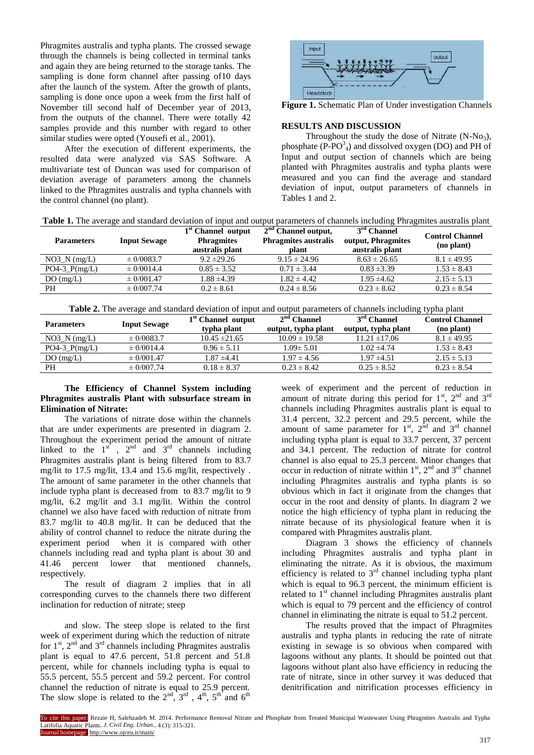Phragmites australis and typha plants. The crossed sewage through the channels is being collected in terminal tanks and again they are being returned to the storage tanks. The sampling is done form channel after passing of 10 days after the launch of the system. After the growth of plants, sampling is done once upon a week from the first half of November till second half of December year of 2013, from the outputs of the channel. There were totally 42 samples provide and this number with regard to other similar studies were opted (Yousefi et al., 2001).

After the execution of different experiments, the resulted data were analyzed via SAS Software. A multivariate test of Duncan was used for comparison of deviation average of parameters among the channels linked to the Phragmites australis and typha channels with the control channel (no plant).



**Figure 1.** Schematic Plan of Under investigation Channels

#### **RESULTS AND DISCUSSION**

Throughout the study the dose of Nitrate  $(N-N<sub>03</sub>)$ , phosphate  $(P-PO<sup>3</sup><sub>4</sub>)$  and dissolved oxygen (DO) and PH of Input and output section of channels which are being planted with Phragmites australis and typha plants were measured and you can find the average and standard deviation of input, output parameters of channels in Tables 1 and 2.

| <b>Parameters</b> | <b>Input Sewage</b> | 1 <sup>st</sup> Channel output<br><b>Phragmites</b><br>australis plant | $2nd$ Channel output,<br><b>Phragmites australis</b><br>plant | $3rd$ Channel<br>output, Phragmites<br>australis plant | <b>Control Channel</b><br>(no plant) |
|-------------------|---------------------|------------------------------------------------------------------------|---------------------------------------------------------------|--------------------------------------------------------|--------------------------------------|
| $NO3$ $N$ (mg/L)  | $\pm$ 0/0083.7      | $9.2 \pm 29.26$                                                        | $9.15 \pm 24.96$                                              | $8.63 \pm 26.65$                                       | $8.1 \pm 49.95$                      |
| $PO4-3_P(mg/L)$   | $\pm 0/0014.4$      | $0.85 \pm 3.52$                                                        | $0.71 \pm 3.44$                                               | $0.83 \pm 3.39$                                        | $1.53 \pm 8.43$                      |
| DO(mg/L)          | $\pm 0/001.47$      | $1.88 \pm 4.39$                                                        | $1.82 \pm 4.42$                                               | $1.95 \pm 4.62$                                        | $2.15 \pm 5.13$                      |
| <b>PH</b>         | $\pm 0/007.74$      | $0.2 \pm 8.61$                                                         | $0.24 \pm 8.56$                                               | $0.23 \pm 8.62$                                        | $0.23 \pm 8.54$                      |

**Table 2.** The average and standard deviation of input and output parameters of channels including typha plant

| <b>Parameters</b> | <b>Input Sewage</b> | 1 <sup>st</sup> Channel output<br>typha plant | $2nd$ Channel<br>output, typha plant | $3rd$ Channel<br>output, typha plant | <b>Control Channel</b><br>(no plant) |
|-------------------|---------------------|-----------------------------------------------|--------------------------------------|--------------------------------------|--------------------------------------|
| $NO3_N (mg/L)$    | $\pm$ 0/0083.7      | $10.45 \pm 21.65$                             | $10.09 \pm 19.58$                    | $11.21 \pm 17.06$                    | $8.1 \pm 49.95$                      |
| $PO4-3_P(mg/L)$   | $\pm 0/0014.4$      | $0.96 \pm 5.11$                               | $1.09 \pm 5.01$                      | $1.02 \pm 4.74$                      | $1.53 \pm 8.43$                      |
| DO(mg/L)          | $\pm 0/001.47$      | $1.87 \pm 4.41$                               | $1.97 \pm 4.56$                      | $1.97 \pm 4.51$                      | $2.15 \pm 5.13$                      |
| PН                | $\pm 0/007.74$      | $0.18 \pm 8.37$                               | $0.23 \pm 8.42$                      | $0.25 \pm 8.52$                      | $0.23 \pm 8.54$                      |

# **The Efficiency of Channel System including Phragmites australis Plant with subsurface stream in Elimination of Nitrate:**

The variations of nitrate dose within the channels that are under experiments are presented in diagram 2. Throughout the experiment period the amount of nitrate linked to the  $1<sup>st</sup>$ ,  $2<sup>nd</sup>$  and  $3<sup>rd</sup>$  channels including Phragmites australis plant is being filtered from to 83.7 mg/lit to 17.5 mg/lit, 13.4 and 15.6 mg/lit, respectively . The amount of same parameter in the other channels that include typha plant is decreased from to 83.7 mg/lit to 9 mg/lit, 6.2 mg/lit and 3.1 mg/lit. Within the control channel we also have faced with reduction of nitrate from 83.7 mg/lit to 40.8 mg/lit. It can be deduced that the ability of control channel to reduce the nitrate during the experiment period when it is compared with other channels including read and typha plant is about 30 and 41.46 percent lower that mentioned channels, respectively.

The result of diagram 2 implies that in all corresponding curves to the channels there two different inclination for reduction of nitrate; steep

and slow. The steep slope is related to the first week of experiment during which the reduction of nitrate for  $1<sup>st</sup>$ ,  $2<sup>nd</sup>$  and  $3<sup>rd</sup>$  channels including Phragmites australis plant is equal to 47.6 percent, 51.8 percent and 51.8 percent, while for channels including typha is equal to 55.5 percent, 55.5 percent and 59.2 percent. For control channel the reduction of nitrate is equal to 25.9 percent. The slow slope is related to the  $2<sup>nd</sup>$ ,  $3<sup>rd</sup>$ ,  $4<sup>th</sup>$ ,  $5<sup>th</sup>$  and  $6<sup>th</sup>$ 

week of experiment and the percent of reduction in amount of nitrate during this period for  $1<sup>st</sup>$ ,  $2<sup>nd</sup>$  and  $3<sup>rd</sup>$ channels including Phragmites australis plant is equal to 31.4 percent, 32.2 percent and 29.5 percent, while the amount of same parameter for  $1<sup>st</sup>$ ,  $2<sup>nd</sup>$  and  $3<sup>rd</sup>$  channel including typha plant is equal to 33.7 percent, 37 percent and 34.1 percent. The reduction of nitrate for control channel is also equal to 25.3 percent. Minor changes that occur in reduction of nitrate within  $1<sup>st</sup>$ ,  $2<sup>nd</sup>$  and  $3<sup>rd</sup>$  channel including Phragmites australis and typha plants is so obvious which in fact it originate from the changes that occur in the root and density of plants. In diagram 2 we notice the high efficiency of typha plant in reducing the nitrate because of its physiological feature when it is compared with Phragmites australis plant.

Diagram 3 shows the efficiency of channels including Phragmites australis and typha plant in eliminating the nitrate. As it is obvious, the maximum efficiency is related to  $3<sup>rd</sup>$  channel including typha plant which is equal to 96.3 percent, the minimum efficient is related to  $1<sup>st</sup>$  channel including Phragmites australis plant which is equal to 79 percent and the efficiency of control channel in eliminating the nitrate is equal to 51.2 percent.

The results proved that the impact of Phragmites australis and typha plants in reducing the rate of nitrate existing in sewage is so obvious when compared with lagoons without any plants. It should be pointed out that lagoons without plant also have efficiency in reducing the rate of nitrate, since in other survey it was deduced that denitrification and nitrification processes efficiency in

To cite this paper: Rezaie H, Salehzadeh M. 2014. Performance Removal Nitrate and Phosphate from Treated Municipal Wastewater Using Phragmites Australis and Typha Latifolia Aquatic Plants. *J. Civil Eng. Urban.,* 4 (3): 315-321. Journal homepage: http://www.ojceu.ir/main/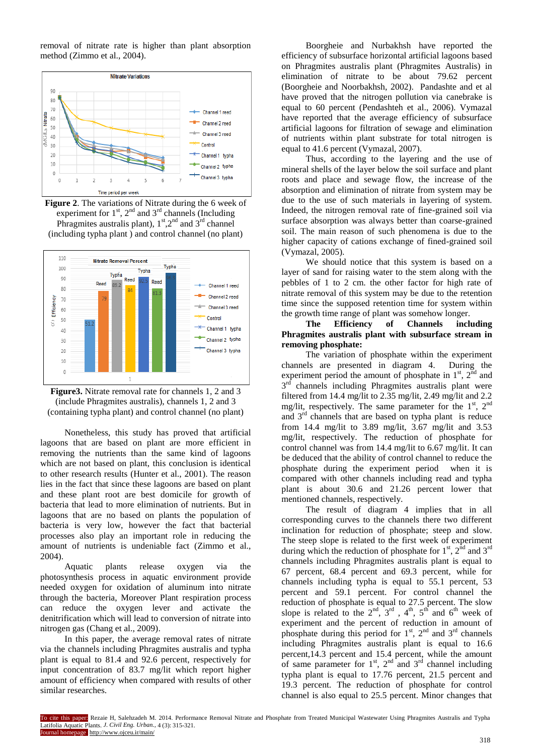removal of nitrate rate is higher than plant absorption method (Zimmo et al., 2004).



**Figure 2**. The variations of Nitrate during the 6 week of experiment for  $1<sup>st</sup>$ ,  $2<sup>nd</sup>$  and  $3<sup>rd</sup>$  channels (Including Phragmites australis plant),  $1<sup>st</sup>$ ,  $2<sup>nd</sup>$  and  $3<sup>rd</sup>$  channel (including typha plant ) and control channel (no plant)





Nonetheless, this study has proved that artificial lagoons that are based on plant are more efficient in removing the nutrients than the same kind of lagoons which are not based on plant, this conclusion is identical to other research results (Hunter et al., 2001). The reason lies in the fact that since these lagoons are based on plant and these plant root are best domicile for growth of bacteria that lead to more elimination of nutrients. But in lagoons that are no based on plants the population of bacteria is very low, however the fact that bacterial processes also play an important role in reducing the amount of nutrients is undeniable fact (Zimmo et al., 2004).

Aquatic plants release oxygen via the photosynthesis process in aquatic environment provide needed oxygen for oxidation of aluminum into nitrate through the bacteria, Moreover Plant respiration process can reduce the oxygen lever and activate the denitrification which will lead to conversion of nitrate into nitrogen gas (Chang et al., 2009).

In this paper, the average removal rates of nitrate via the channels including Phragmites australis and typha plant is equal to 81.4 and 92.6 percent, respectively for input concentration of 83.7 mg/lit which report higher amount of efficiency when compared with results of other similar researches.

Boorgheie and Nurbakhsh have reported the efficiency of subsurface horizontal artificial lagoons based on Phragmites australis plant (Phragmites Australis) in elimination of nitrate to be about 79.62 percent (Boorgheie and Noorbakhsh, 2002). Pandashte and et al have proved that the nitrogen pollution via canebrake is equal to 60 percent (Pendashteh et al., 2006). Vymazal have reported that the average efficiency of subsurface artificial lagoons for filtration of sewage and elimination of nutrients within plant substrate for total nitrogen is equal to 41.6 percent (Vymazal, 2007).

Thus, according to the layering and the use of mineral shells of the layer below the soil surface and plant roots and place and sewage flow, the increase of the absorption and elimination of nitrate from system may be due to the use of such materials in layering of system. Indeed, the nitrogen removal rate of fine-grained soil via surface absorption was always better than coarse-grained soil. The main reason of such phenomena is due to the higher capacity of cations exchange of fined-grained soil (Vymazal, 2005).

We should notice that this system is based on a layer of sand for raising water to the stem along with the pebbles of 1 to 2 cm. the other factor for high rate of nitrate removal of this system may be due to the retention time since the supposed retention time for system within the growth time range of plant was somehow longer.

## **The Efficiency of Channels including Phragmites australis plant with subsurface stream in removing phosphate:**

The variation of phosphate within the experiment channels are presented in diagram 4. During the experiment period the amount of phosphate in  $1<sup>st</sup>$ ,  $2<sup>nd</sup>$  and 3<sup>rd</sup> channels including Phragmites australis plant were filtered from 14.4 mg/lit to 2.35 mg/lit, 2.49 mg/lit and 2.2 mg/lit, respectively. The same parameter for the  $1<sup>st</sup>$ ,  $2<sup>nd</sup>$ and  $3<sup>rd</sup>$  channels that are based on typha plant is reduce from 14.4 mg/lit to 3.89 mg/lit, 3.67 mg/lit and 3.53 mg/lit, respectively. The reduction of phosphate for control channel was from 14.4 mg/lit to 6.67 mg/lit. It can be deduced that the ability of control channel to reduce the phosphate during the experiment period when it is compared with other channels including read and typha plant is about 30.6 and 21.26 percent lower that mentioned channels, respectively.

The result of diagram 4 implies that in all corresponding curves to the channels there two different inclination for reduction of phosphate; steep and slow. The steep slope is related to the first week of experiment during which the reduction of phosphate for  $1<sup>st</sup>$ ,  $2<sup>nd</sup>$  and  $3<sup>rd</sup>$ channels including Phragmites australis plant is equal to 67 percent, 68.4 percent and 69.3 percent, while for channels including typha is equal to 55.1 percent, 53 percent and 59.1 percent. For control channel the reduction of phosphate is equal to 27.5 percent. The slow slope is related to the  $2<sup>nd</sup>$ ,  $3<sup>rd</sup>$ ,  $4<sup>th</sup>$ ,  $5<sup>th</sup>$  and  $6<sup>th</sup>$  week of experiment and the percent of reduction in amount of phosphate during this period for  $1<sup>st</sup>$ ,  $2<sup>nd</sup>$  and  $3<sup>rd</sup>$  channels including Phragmites australis plant is equal to 16.6 percent,14.3 percent and 15.4 percent, while the amount of same parameter for  $1<sup>st</sup>$ ,  $2<sup>nd</sup>$  and  $3<sup>rd</sup>$  channel including typha plant is equal to 17.76 percent, 21.5 percent and 19.3 percent. The reduction of phosphate for control channel is also equal to 25.5 percent. Minor changes that

To cite this paper: Rezaie H, Salehzadeh M. 2014. Performance Removal Nitrate and Phosphate from Treated Municipal Wastewater Using Phragmites Australis and Typha Latifolia Aquatic Plants. *J. Civil Eng. Urban.,* 4 (3): 315-321. ournal homepage http://www.ojceu.ir/main/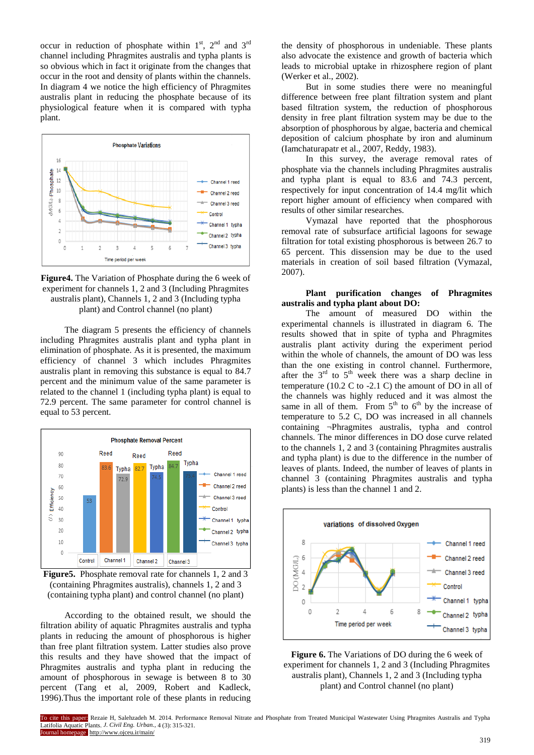occur in reduction of phosphate within  $1<sup>st</sup>$ ,  $2<sup>nd</sup>$  and  $3<sup>rd</sup>$ channel including Phragmites australis and typha plants is so obvious which in fact it originate from the changes that occur in the root and density of plants within the channels. In diagram 4 we notice the high efficiency of Phragmites australis plant in reducing the phosphate because of its physiological feature when it is compared with typha plant.



**Figure4.** The Variation of Phosphate during the 6 week of experiment for channels 1, 2 and 3 (Including Phragmites australis plant), Channels 1, 2 and 3 (Including typha plant) and Control channel (no plant)

The diagram 5 presents the efficiency of channels including Phragmites australis plant and typha plant in elimination of phosphate. As it is presented, the maximum efficiency of channel 3 which includes Phragmites australis plant in removing this substance is equal to 84.7 percent and the minimum value of the same parameter is related to the channel 1 (including typha plant) is equal to 72.9 percent. The same parameter for control channel is equal to 53 percent.



**Figure5.** Phosphate removal rate for channels 1, 2 and 3 (containing Phragmites australis), channels 1, 2 and 3 (containing typha plant) and control channel (no plant)

According to the obtained result, we should the filtration ability of aquatic Phragmites australis and typha plants in reducing the amount of phosphorous is higher than free plant filtration system. Latter studies also prove this results and they have showed that the impact of Phragmites australis and typha plant in reducing the amount of phosphorous in sewage is between 8 to 30 percent (Tang et al, 2009, Robert and Kadleck, 1996).Thus the important role of these plants in reducing

the density of phosphorous in undeniable. These plants also advocate the existence and growth of bacteria which leads to microbial uptake in rhizosphere region of plant (Werker et al., 2002).

But in some studies there were no meaningful difference between free plant filtration system and plant based filtration system, the reduction of phosphorous density in free plant filtration system may be due to the absorption of phosphorous by algae, bacteria and chemical deposition of calcium phosphate by iron and aluminum (Iamchaturapatr et al., 2007, Reddy, 1983).

In this survey, the average removal rates of phosphate via the channels including Phragmites australis and typha plant is equal to 83.6 and 74.3 percent, respectively for input concentration of 14.4 mg/lit which report higher amount of efficiency when compared with results of other similar researches.

Vymazal have reported that the phosphorous removal rate of subsurface artificial lagoons for sewage filtration for total existing phosphorous is between 26.7 to 65 percent. This dissension may be due to the used materials in creation of soil based filtration (Vymazal, 2007).

#### **Plant purification changes of Phragmites australis and typha plant about DO:**

The amount of measured DO within the experimental channels is illustrated in diagram 6. The results showed that in spite of typha and Phragmites australis plant activity during the experiment period within the whole of channels, the amount of DO was less than the one existing in control channel. Furthermore, after the  $3<sup>rd</sup>$  to  $5<sup>th</sup>$  week there was a sharp decline in temperature (10.2 C to -2.1 C) the amount of DO in all of the channels was highly reduced and it was almost the same in all of them. From  $5<sup>th</sup>$  to  $6<sup>th</sup>$  by the increase of temperature to 5.2 C, DO was increased in all channels containing ¬Phragmites australis, typha and control channels. The minor differences in DO dose curve related to the channels 1, 2 and 3 (containing Phragmites australis and typha plant) is due to the difference in the number of leaves of plants. Indeed, the number of leaves of plants in channel 3 (containing Phragmites australis and typha plants) is less than the channel 1 and 2.



**Figure 6.** The Variations of DO during the 6 week of experiment for channels 1, 2 and 3 (Including Phragmites australis plant), Channels 1, 2 and 3 (Including typha plant) and Control channel (no plant)

To cite this paper: Rezaie H, Salehzadeh M. 2014. Performance Removal Nitrate and Phosphate from Treated Municipal Wastewater Using Phragmites Australis and Typha Latifolia Aquatic Plants. *J. Civil Eng. Urban.,* 4 (3): 315-321. ournal homepage http://www.ojceu.ir/main/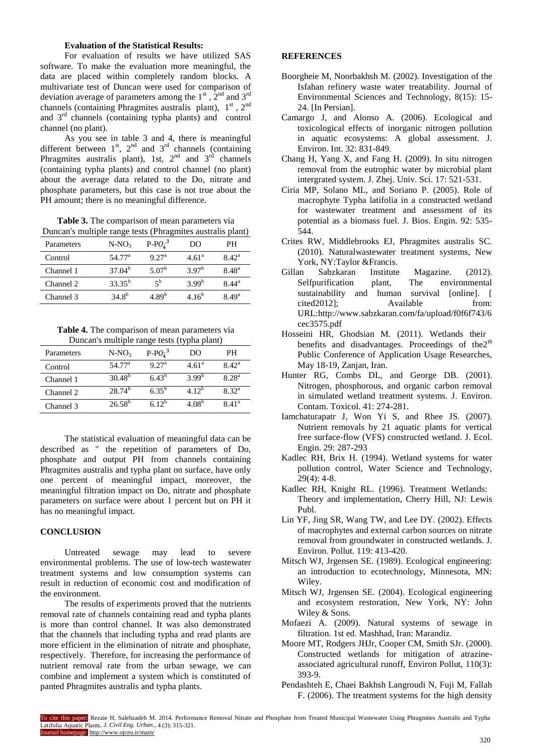## **Evaluation of the Statistical Results:**

For evaluation of results we have utilized SAS software. To make the evaluation more meaningful, the data are placed within completely random blocks. A multivariate test of Duncan were used for comparison of deviation average of parameters among the  $1<sup>st</sup>$ ,  $2<sup>nd</sup>$  and  $3<sup>rd</sup>$ channels (containing Phragmites australis plant),  $1<sup>st</sup>$ ,  $2<sup>nd</sup>$ and 3rd channels (containing typha plants) and control channel (no plant).

As you see in table 3 and 4, there is meaningful different between  $1<sup>st</sup>$ ,  $2<sup>nd</sup>$  and  $3<sup>rd</sup>$  channels (containing Phragmites australis plant), 1st,  $2^{nd}$  and  $3^{rd}$  channels (containing typha plants) and control channel (no plant) about the average data related to the Do, nitrate and phosphate parameters, but this case is not true about the PH amount; there is no meaningful difference.

**Table 3.** The comparison of mean parameters via Duncan's multiple range tests (Phragmites australis plant)

| Parameters | $N-NO3$         | $P$ - $PO_4^{-3}$ | DO                | PН                |
|------------|-----------------|-------------------|-------------------|-------------------|
| Control    | $54.77^{\rm a}$ | 9.27 <sup>a</sup> | 4.61 <sup>a</sup> | 8.42 <sup>a</sup> |
| Channel 1  | $37.04^b$       | 5.07 <sup>b</sup> | $3.97^{b}$        | 8.48 <sup>a</sup> |
| Channel 2  | $33.35^{b}$     | 5 <sup>b</sup>    | 3.99 <sup>b</sup> | 8.44 <sup>a</sup> |
| Channel 3  | $34.8^{b}$      | 4.89 <sup>b</sup> | 4.16 <sup>b</sup> | 8.49 <sup>a</sup> |

**Table 4.** The comparison of mean parameters via Duncan's multiple range tests (typha plant)

| Parameters | $N-NO_3$        | $P$ - $PO_{\lambda}^{-3}$ | DO                | PН                |
|------------|-----------------|---------------------------|-------------------|-------------------|
| Control    | $54.77^{\rm a}$ | 9.27 <sup>a</sup>         | 4.61 <sup>a</sup> | 8.42 <sup>a</sup> |
| Channel 1  | $30.48^{b}$     | $6.43^{b}$                | $3.99^{b}$        | $8.28^{a}$        |
| Channel 2  | $28.74^{b}$     | $6.35^{b}$                | 4.12 <sup>b</sup> | 8.32 <sup>a</sup> |
| Channel 3  | $26.58^{b}$     | $612^{b}$                 | $4.08^{b}$        | 8.41 <sup>a</sup> |

The statistical evaluation of meaningful data can be described as " the repetition of parameters of Do, phosphate and output PH from channels containing Phragmites australis and typha plant on surface, have only one percent of meaningful impact, moreover, the meaningful filtration impact on Do, nitrate and phosphate parameters on surface were about 1 percent but on PH it has no meaningful impact.

#### **CONCLUSION**

Untreated sewage may lead to severe environmental problems. The use of low-tech wastewater treatment systems and low consumption systems can result in reduction of economic cost and modification of the environment.

The results of experiments proved that the nutrients removal rate of channels containing read and typha plants is more than control channel. It was also demonstrated that the channels that including typha and read plants are more efficient in the elimination of nitrate and phosphate, respectively. Therefore, for increasing the performance of nutrient removal rate from the urban sewage, we can combine and implement a system which is constituted of panted Phragmites australis and typha plants.

## **REFERENCES**

- Boorgheie M, Noorbakhsh M. (2002). Investigation of the Isfahan refinery waste water treatability. Journal of Environmental Sciences and Technology, 8(15): 15- 24. [In Persian].
- Camargo J, and Alonso A. (2006). Ecological and toxicological effects of inorganic nitrogen pollution in aquatic ecosystems: A global assessment. J. Environ. Int. 32: 831-849.
- Chang H, Yang X, and Fang H. (2009). In situ nitrogen removal from the eutrophic water by microbial plant intergrated system. J. Zhej. Univ. Sci. 17: 521-531.
- Ciria MP, Solano ML, and Soriano P. (2005). Role of macrophyte Typha latifolia in a constructed wetland for wastewater treatment and assessment of its potential as a biomass fuel. J. Bios. Engin. 92: 535- 544.
- Crites RW, Middlebrooks EJ, Phragmites australis SC. (2010). Naturalwastewater treatment systems, New York, NY:Taylor &Francis.
- Gillan Sabzkaran Institute Magazine. (2012).<br>Selfpurification plant, The environmental Selfpurification plant, The environmental sustainability and human survival [online]. [ cited2012]; Available from: URL:http://www.sabzkaran.com/fa/upload/f0f6f743/6 cec3575.pdf
- Hosseini HR, Ghodsian M. (2011). Wetlands their benefits and disadvantages. Proceedings of the2<sup>th</sup> Public Conference of Application Usage Researches, May 18-19, Zanjan, Iran.
- Hunter RG, Combs DL, and George DB. (2001). Nitrogen, phosphorous, and organic carbon removal in simulated wetland treatment systems. J. Environ. Contam. Toxicol. 41: 274-281.
- Iamchaturapatr J, Won Yi S, and Rhee JS. (2007). Nutrient removals by 21 aquatic plants for vertical free surface-flow (VFS) constructed wetland. J. Ecol. Engin. 29: 287-293
- Kadlec RH, Brix H. (1994). Wetland systems for water pollution control, Water Science and Technology,  $29(4): 4-8.$
- Kadlec RH, Knight RL. (1996). Treatment Wetlands: Theory and implementation, Cherry Hill, NJ: Lewis Publ.
- Lin YF, Jing SR, Wang TW, and Lee DY. (2002). Effects of macrophytes and external carbon sources on nitrate removal from groundwater in constructed wetlands. J. Environ. Pollut. 119: 413-420.
- Mitsch WJ, Jrgensen SE. (1989). Ecological engineering: an introduction to ecotechnology, Minnesota, MN: Wiley.
- Mitsch WJ, Jrgensen SE. (2004). Ecological engineering and ecosystem restoration, New York, NY: John Wiley & Sons.
- Mofaezi A. (2009). Natural systems of sewage in filtration. 1st ed. Mashhad, Iran: Marandiz.
- Moore MT, Rodgers JHJr, Cooper CM, Smith SJr. (2000). Constructed wetlands for mitigation of atrazineassociated agricultural runoff, Environ Pollut, 110(3): 393-9.
- Pendashteh E, Chaei Bakhsh Langroudi N, Fuji M, Fallah F. (2006). The treatment systems for the high density

To cite this paper: Rezaie H, Salehzadeh M. 2014. Performance Removal Nitrate and Phosphate from Treated Municipal Wastewater Using Phragmites Australis and Typha Latifolia Aquatic Plants. *J. Civil Eng. Urban.,* 4 (3): 315-321. Journal homepage: http://www.ojceu.ir/main/